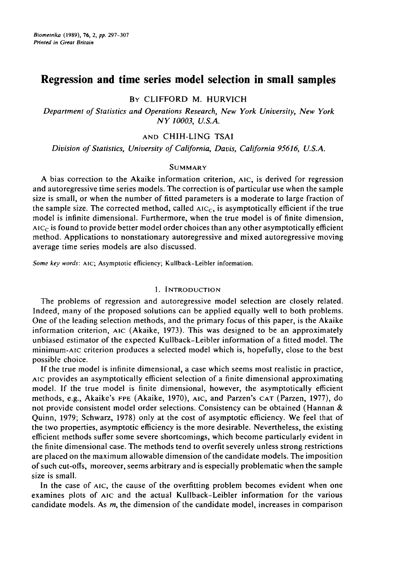*Biometrika* (1989), 76, 2, *pp.* 297-307 *Printed in Great Britain*

# **Regression and time series model selection in small samples**

BY CLIFFORD M. HURVICH

*Department of Statistics and Operations Research, New York University, New York NY 10003, U.S.A.*

AND CHIH-LING TSAI

*Division of Statistics, University of California, Davis, California 95616, U.S.A.*

## SUMMARY

A bias correction to the Akaike information criterion, AIC, is derived for regression and autoregressive time series models. The correction is of particular use when the sample size is small, or when the number of fitted parameters is a moderate to large fraction of the sample size. The corrected method, called  $AIC_C$ , is asymptotically efficient if the true model is infinite dimensional. Furthermore, when the true model is of finite dimension,  $AIC<sub>C</sub>$  is found to provide better model order choices than any other asymptotically efficient method. Applications to nonstationary autoregressive and mixed autoregressive moving average time series models are also discussed.

*Some key words:* AIC; Asymptotic efficiency; Kullback-Leibler information.

## 1. INTRODUCTION

The problems of regression and autoregressive model selection are closely related. Indeed, many of the proposed solutions can be applied equally well to both problems. One of the leading selection methods, and the primary focus of this paper, is the Akaike information criterion, AIC (Akaike, 1973). This was designed to be an approximately unbiased estimator of the expected Kullback-Leibler information of a fitted model. The minimum-Aic criterion produces a selected model which is, hopefully, close to the best possible choice.

If the true model is infinite dimensional, a case which seems most realistic in practice, AIC provides an asymptotically efficient selection of a finite dimensional approximating model. If the true model is finite dimensional, however, the asymptotically efficient methods, e.g., Akaike's FPE (Akaike, 1970), AIC, and Parzen's CAT (Parzen, 1977), do not provide consistent model order selections. Consistency can be obtained (Hannan & Quinn, 1979; Schwarz, 1978) only at the cost of asymptotic efficiency. We feel that of the two properties, asymptotic efficiency is the more desirable. Nevertheless, the existing efficient methods suffer some severe shortcomings, which become particularly evident in the finite dimensional case. The methods tend to overfit severely unless strong restrictions are placed on the maximum allowable dimension of the candidate models. The imposition of such cut-offs, moreover, seems arbitrary and is especially problematic when the sample size is small.

In the case of AIC, the cause of the overfitting problem becomes evident when one examines plots of AIC and the actual Kullback-Leibler information for the various candidate models. As *m,* the dimension of the candidate model, increases in comparison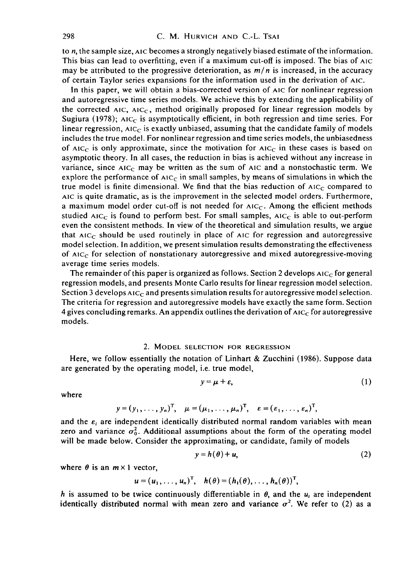to *n,* the sample size, AIC becomes a strongly negatively biased estimate of the information. This bias can lead to overfitting, even if a maximum cut-off is imposed. The bias of AIC may be attributed to the progressive deterioration, as *m/n* is increased, in the accuracy of certain Taylor series expansions for the information used in the derivation of AIC.

In this paper, we will obtain a bias-corrected version of AIC for nonlinear regression and autoregressive time series models. We achieve this by extending the applicability of the corrected AIC, AIC<sub>C</sub>, method originally proposed for linear regression models by Sugiura (1978); AIC<sub>C</sub> is asymptotically efficient, in both regression and time series. For linear regression,  $AIC<sub>C</sub>$  is exactly unbiased, assuming that the candidate family of models includes the true model. For nonlinear regression and time series models, the unbiasedness of AIC<sub>C</sub> is only approximate, since the motivation for AIC<sub>C</sub> in these cases is based on asymptotic theory. In all cases, the reduction in bias is achieved without any increase in variance, since  $AIC_C$  may be written as the sum of  $AIC$  and a nonstochastic term. We explore the performance of  $AIC_C$  in small samples, by means of simulations in which the true model is finite dimensional. We find that the bias reduction of  $AIC_C$  compared to AIC is quite dramatic, as is the improvement in the selected model orders. Furthermore, a maximum model order cut-off is not needed for  $AIC<sub>C</sub>$ . Among the efficient methods studied AIC<sub>C</sub> is found to perform best. For small samples,  $AIC<sub>C</sub>$  is able to out-perform even the consistent methods. In view of the theoretical and simulation results, we argue that  $AIC<sub>C</sub>$  should be used routinely in place of  $AIC$  for regression and autoregressive model selection. In addition, we present simulation results demonstrating the effectiveness of  $AIC<sub>C</sub>$  for selection of nonstationary autoregressive and mixed autoregressive-moving average time series models.

The remainder of this paper is organized as follows. Section 2 develops  $AIC<sub>C</sub>$  for general regression models, and presents Monte Carlo results for linear regression model selection. Section 3 develops  $AIC_C$  and presents simulation results for autoregressive model selection. The criteria for regression and autoregressive models have exactly the same form. Section 4 gives concluding remarks. An appendix outlines the derivation of  $AIC<sub>C</sub>$  for autoregressive models.

#### 2. MODEL SELECTION FOR REGRESSION

Here, we follow essentially the notation of Linhart & Zucchini (1986). Suppose data are generated by the operating model, i.e. true model,

$$
y = \mu + \varepsilon, \tag{1}
$$

where

$$
y=(y_1,\ldots,y_n)^T
$$
,  $\mu=(\mu_1,\ldots,\mu_n)^T$ ,  $\varepsilon=(\varepsilon_1,\ldots,\varepsilon_n)^T$ ,

and the  $\varepsilon_i$  are independent identically distributed normal random variables with mean zero and variance  $\sigma_0^2$ . Additional assumptions about the form of the operating model will be made below. Consider the approximating, or candidate, family of models

$$
y = h(\theta) + u,\tag{2}
$$

where  $\theta$  is an  $m \times 1$  vector,

$$
u=(u_1,\ldots,u_n)^{\mathrm{T}},\quad h(\theta)=(h_1(\theta),\ldots,h_n(\theta))^{\mathrm{T}},
$$

*h* is assumed to be twice continuously differentiable in  $\theta$ , and the  $u_i$  are independent identically distributed normal with mean zero and variance  $\sigma^2$ . We refer to (2) as a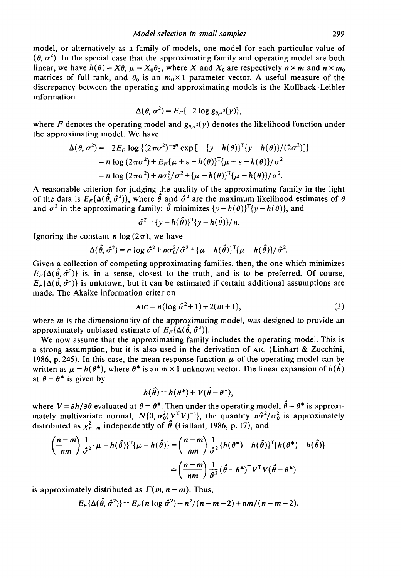model, or alternatively as a family of models, one model for each particular value of  $(\theta, \sigma^2)$ . In the special case that the approximating family and operating model are both linear, we have  $h(\theta) = X\theta$ ,  $\mu = X_0\theta_0$ , where X and  $X_0$  are respectively  $n \times m$  and  $n \times m_0$ matrices of full rank, and  $\theta_0$  is an  $m_0 \times 1$  parameter vector. A useful measure of the discrepancy between the operating and approximating models is the Kullback-Leibler information

$$
\Delta(\theta, \sigma^2) = E_F\{-2\log g_{\theta, \sigma^2}(y)\},
$$

where F denotes the operating model and  $g_{\theta, \sigma^2}(y)$  denotes the likelihood function under the approximating model. We have

$$
\Delta(\theta, \sigma^2) = -2E_F \log \{(2\pi\sigma^2)^{-\frac{1}{2}n} \exp[-\{y - h(\theta)\}^T \{y - h(\theta)\}/(2\sigma^2)]\}
$$
  
=  $n \log (2\pi\sigma^2) + E_F \{\mu + \varepsilon - h(\theta)\}^T \{\mu + \varepsilon - h(\theta)\}/\sigma^2$   
=  $n \log (2\pi\sigma^2) + n\sigma_0^2/\sigma^2 + \{\mu - h(\theta)\}^T \{\mu - h(\theta)\}/\sigma^2$ .

A reasonable criterion for judging the quality of the approximating family in the light of the data is  $E_F{\{\Delta(\hat{\theta}, \hat{\sigma}^2)\}}$ , where  $\hat{\theta}$  and  $\hat{\sigma}^2$  are the maximum likelihood estimates of  $\theta$ and  $\sigma^2$  in the approximating family:  $\hat{\theta}$  minimizes  $\{y - h(\theta)\}^T \{y - h(\theta)\}$ , and

$$
\hat{\sigma}^2 = \{y - h(\hat{\theta})\}^{\mathrm{T}} \{y - h(\hat{\theta})\}/n.
$$

Ignoring the constant *n* log  $(2\pi)$ , we have

$$
\Delta(\hat{\theta}, \hat{\sigma}^2) = n \log \hat{\sigma}^2 + n \sigma_0^2 / \hat{\sigma}^2 + \{ \mu - h(\hat{\theta}) \}^{\text{T}} \{ \mu - h(\hat{\theta}) \} / \hat{\sigma}^2.
$$

Given a collection of competing approximating families, then, the one which minimizes  $E_F\{\Delta(\hat{\theta}, \hat{\sigma}^2)\}\$ is, in a sense, closest to the truth, and is to be preferred. Of course,  $E_F\{\Delta(\hat{\theta}, \hat{\sigma}^2)\}\$ is unknown, but it can be estimated if certain additional assumptions are made. The Akaike information criterion

$$
AIC = n(\log \hat{\sigma}^2 + 1) + 2(m + 1),
$$
 (3)

where *m* is the dimensionality of the approximating model, was designed to provide an approximately unbiased estimate of  $E_F^{\dagger}(\Delta(\hat{\theta}, \hat{\sigma}^2))$ .

We now assume that the approximating family includes the operating model. This is a strong assumption, but it is also used in the derivation of AIC (Linhart & Zucchini, 1986, p. 245). In this case, the mean response function  $\mu$  of the operating model can be written as  $\mu = h(\theta^*)$ , where  $\theta^*$  is an  $m \times 1$  unknown vector. The linear expansion of  $h(\hat{\theta})$ at  $\theta = \theta^*$  is given by

$$
h(\hat{\theta}) \approx h(\theta^*) + V(\hat{\theta} - \theta^*),
$$

where  $V = \partial h / \partial \theta$  evaluated at  $\theta = \theta^*$ . Then under the operating model,  $\hat{\theta} - \theta^*$  is approximately multivariate normal,  $N\{0, \sigma_0^2(V^TV)^{-1}\}$ , the quantity  $n\hat{\sigma}^2/\sigma_0^2$  is approximately distributed as  $\chi^2_{n-m}$  independently of  $\hat{\theta}$  (Gallant, 1986, p. 17), and

$$
\left(\frac{n-m}{nm}\right)\frac{1}{\hat{\sigma}^2}\{\mu-h(\hat{\theta})\}^{\mathrm{T}}\{\mu-h(\hat{\theta})\} = \left(\frac{n-m}{nm}\right)\frac{1}{\hat{\sigma}^2}\{h(\theta^*)-h(\hat{\theta})\}^{\mathrm{T}}\{h(\theta^*)-h(\hat{\theta})\}
$$

$$
\approx \left(\frac{n-m}{nm}\right)\frac{1}{\hat{\sigma}^2}(\hat{\theta}-\theta^*)^{\mathrm{T}}V^{\mathrm{T}}V(\hat{\theta}-\theta^*)
$$

is approximately distributed as  $F(m, n-m)$ . Thus,

$$
E_{F}{\{\Delta(\hat{\theta},\hat{\sigma}^2)\}}=\sum_{F}(n \log \hat{\sigma}^2)+n^2/(n-m-2)+nm/(n-m-2)
$$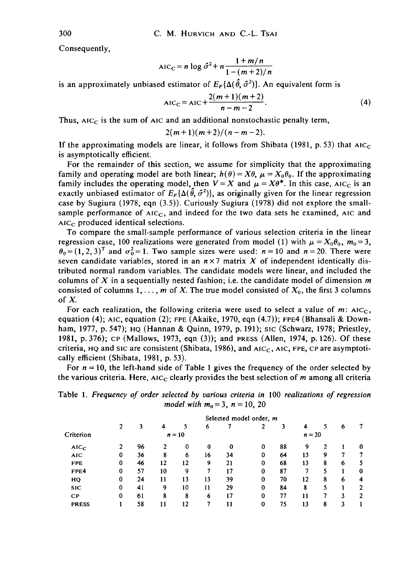Consequently,

$$
\text{AIC}_{\text{C}} = n \log \hat{\sigma}^2 + n \frac{1 + m/n}{1 - (m+2)/n}
$$

is an approximately unbiased estimator of  $E_F$ { $\Delta$ ( $\hat{\theta}$ ,  $\hat{\sigma}^2$ )}. An equivalent form is

$$
AIC_C = AIC + \frac{2(m+1)(m+2)}{n-m-2}.
$$
 (4)

Thus,  $AIC_C$  is the sum of  $AIC$  and an additional nonstochastic penalty term,

$$
2(m+1)(m+2)/(n-m-2)
$$
.

If the approximating models are linear, it follows from Shibata (1981, p. 53) that  $AIC_C$ is asymptotically efficient.

For the remainder of this section, we assume for simplicity that the approximating family and operating model are both linear;  $h(\theta) = X\theta$ ,  $\mu = X_0\theta_0$ . If the approximating family includes the operating model, then  $V = X$  and  $\mu = X\theta^*$ . In this case, AIC<sub>C</sub> is an exactly unbiased estimator of  $E_F\{\Delta(\hat{\theta}, \hat{\sigma}^2)\}$ , as originally given for the linear regression case by Sugiura (1978, eqn (3.5)). Curiously Sugiura (1978) did not explore the smallsample performance of  $AIC<sub>C</sub>$ , and indeed for the two data sets he examined, AIC and  $AIC<sub>C</sub>$  produced identical selections.

To compare the small-sample performance of various selection criteria in the linear regression case, 100 realizations were generated from model (1) with  $\mu = X_0 \theta_0$ ,  $m_0 = 3$ ,  $\theta_0 = (1, 2, 3)^T$  and  $\sigma_0^2 = 1$ . Two sample sizes were used:  $n = 10$  and  $n = 20$ . There were seven candidate variables, stored in an  $n \times 7$  matrix X of independent identically distributed normal random variables. The candidate models were linear, and included the columns of X in a sequentially nested fashion; i.e. the candidate model of dimension *m* consisted of columns  $1, \ldots, m$  of X. The true model consisted of  $X_0$ , the first 3 columns of *X.*

For each realization, the following criteria were used to select a value of  $m$ :  $AIC_{C}$ , equation (4); AIC, equation (2); FPE (Akaike, 1970, eqn  $(4.7)$ ); FPE4 (Bhansali & Downham, 1977, p. 547); HQ (Hannan & Quinn, 1979, p. 191); sic (Schwarz, 1978; Priestley, 1981, p. 376); CP (Mallows, 1973, eqn (3)); and PRESS (Allen, 1974, p. 126). Of these criteria,  $HQ$  and sic are consistent (Shibata, 1986), and  $AIC<sub>C</sub>$ ,  $AIC$ , FPE, CP are asymptotically efficient (Shibata, 1981, p. 53).

For *n* = 10, the left-hand side of Table 1 gives the frequency of the order selected by the various criteria. Here,  $AIC_C$  clearly provides the best selection of m among all criteria

Table 1. *Frequency of order selected by various criteria in* 100 *realizations of regression model with*  $m_0 = 3$ ,  $n = 10$ , 20

|              | Selected model order, m |    |    |          |    |          |          |    |    |   |   |   |
|--------------|-------------------------|----|----|----------|----|----------|----------|----|----|---|---|---|
|              |                         |    | 4  |          | 6  |          |          | 3  | 4  |   | 6 |   |
| Criterion    |                         |    |    | $n = 10$ |    | $n = 20$ |          |    |    |   |   |   |
| $AIC_C$      |                         | 96 |    | $\bf{0}$ | 0  | 0        | 0        | 88 | 9  |   |   | 0 |
| <b>AIC</b>   | 0                       | 36 | 8  | 6        | 16 | 34       | 0        | 64 | 13 | 9 |   |   |
| <b>FPE</b>   | 0                       | 46 | 12 | 12       | 9  | 21       | 0        | 68 | 13 | 8 | 6 |   |
| FPE4         | $\bf{0}$                | 57 | 10 | 9        |    | 17       | 0        | 87 | 7  |   |   | 0 |
| HQ           | $\bf{0}$                | 24 | 11 | 13       | 13 | 39       | $\bf{0}$ | 70 | 12 | 8 | 6 | 4 |
| <b>SIC</b>   | 0                       | 41 | 9  | 10       | 11 | 29       | 0        | 84 | 8  |   |   | 2 |
| $\bf CP$     | $\bf{0}$                | 61 | 8  | 8        | 6  | 17       | 0        | 77 | 11 |   | 3 | 2 |
| <b>PRESS</b> |                         | 58 | 11 | 12       |    |          | 0        | 75 | 13 | 8 |   |   |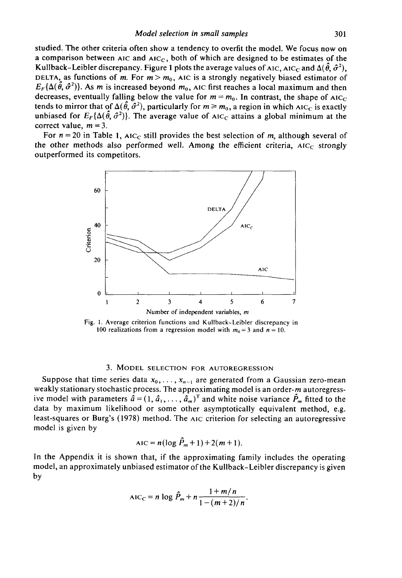studied. The other criteria often show a tendency to overfit the model. We focus now on a comparison between AIC and AIC<sub>C</sub>, both of which are designed to be estimates of the Kullback-Leibler discrepancy. Figure 1 plots the average values of AIC, AIC<sub>C</sub> and  $\Delta(\hat{\theta}, \hat{\sigma}^2)$ , DELTA, as functions of m. For  $m > m_0$ , AIC is a strongly negatively biased estimator of  $E_F{\{\Delta(\hat{\theta}, \hat{\sigma}^2)\}}$ . As m is increased beyond  $m_0$ , AIC first reaches a local maximum and then decreases, eventually falling below the value for  $m = m_0$ . In contrast, the shape of AIC<sub>C</sub> tends to mirror that of  $\Delta(\hat{\theta}, \hat{\sigma}^2)$ , particularly for  $m \ge m_0$ , a region in which AIC<sub>C</sub> is exactly unbiased for  $E_F{\{\Delta(\hat{\theta}, \hat{\sigma}^2)\}}$ . The average value of AIC<sub>C</sub> attains a global minimum at the correct value,  $m = 3$ .

For  $n = 20$  in Table 1, AIC<sub>C</sub> still provides the best selection of m, although several of the other methods also performed well. Among the efficient criteria,  $AIC_C$  strongly outperformed its competitors.



Fig. 1. Average criterion functions and Kullback-Leibler discrepancy in 100 realizations from a regression model with  $m_0 = 3$  and  $n = 10$ .

## 3. MODEL SELECTION FOR AUTOREGRESSION

Suppose that time series data  $x_0, \ldots, x_{n-1}$  are generated from a Gaussian zero-mean weakly stationary stochastic process. The approximating model is an order-m autoregressive model with parameters  $\hat{a} = (1, \hat{a}_1, \dots, \hat{a}_m)^T$  and white noise variance  $\hat{P}_m$  fitted to the data by maximum likelihood or some other asymptotically equivalent method, e.g. least-squares or Burg's (1978) method. The AIC criterion for selecting an autoregressive model is given by

$$
AIC = n(\log \hat{P}_m + 1) + 2(m + 1).
$$

In the Appendix it is shown that, if the approximating family includes the operating model, an approximately unbiased estimator of the Kullback-Leibler discrepancy is given by

$$
AIC_C = n \log \hat{P}_m + n \frac{1 + m/n}{1 - (m+2)/n}.
$$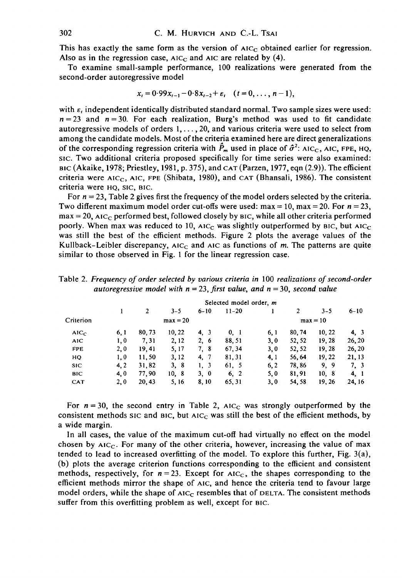This has exactly the same form as the version of  $AIC_C$  obtained earlier for regression. Also as in the regression case,  $AIC_C$  and  $AIC$  are related by (4).

To examine small-sample performance, 100 realizations were generated from the second-order autoregressive model

$$
x_{t}=0.99x_{t-1}-0.8x_{t-2}+\varepsilon_{t} (t=0,\ldots,n-1),
$$

with  $\varepsilon$ , independent identically distributed standard normal. Two sample sizes were used:  $n = 23$  and  $n = 30$ . For each realization, Burg's method was used to fit candidate autoregressive models of orders 1,..., 20, and various criteria were used to select from among the candidate models. Most of the criteria examined here are direct generalizations of the corresponding regression criteria with  $\hat{P}_m$  used in place of  $\hat{\sigma}^2$ : AIC<sub>C</sub>, AIC, FPE, HQ, SIC. Two additional criteria proposed specifically for time series were also examined: BIC (Akaike, 1978; Priestley, 1981, p. 375), and CAT (Parzen, 1977, eqn (2.9)). The efficient criteria were AIC<sub>C</sub>, AIC, FPE (Shibata, 1980), and CAT (Bhansali, 1986). The consistent criteria were HQ, SIC, BIC.

For *n* = 23, Table 2 gives first the frequency of the model orders selected by the criteria. Two different maximum model order cut-offs were used: max = 10, max = 20. For *n* = 23,  $max = 20$ , AIC<sub>C</sub> performed best, followed closely by BIC, while all other criteria performed poorly. When max was reduced to 10,  $AIC<sub>C</sub>$  was slightly outperformed by BIC, but  $AIC<sub>C</sub>$ was still the best of the efficient methods. Figure 2 plots the average values of the Kullback-Leibler discrepancy,  $AIC<sub>C</sub>$  and  $AIC$  as functions of m. The patterns are quite similar to those observed in Fig. 1 for the linear regression case.

Table 2. *Frequency of order selected by various criteria in* 100 *realizations of second-order autoregressive model with n* = 23, *first value, and n =* 30, *second value*

|            | Selected model order, m |        |            |          |           |            |        |         |          |  |  |
|------------|-------------------------|--------|------------|----------|-----------|------------|--------|---------|----------|--|--|
|            |                         | 2      | $3 - 5$    | $6 - 10$ | $11 - 20$ |            |        | $3 - 5$ | $6 - 10$ |  |  |
| Criterion  |                         |        | $max = 20$ |          |           | $max = 10$ |        |         |          |  |  |
| $AIC_C$    | 6, 1                    | 80, 73 | 10, 22     | 4, 3     | 0, 1      | 6,1        | 80, 74 | 10.22   | 4, 3     |  |  |
| <b>AIC</b> | 1,0                     | 7, 31  | 2, 12      | 2, 6     | 88.51     | 3,0        | 52, 52 | 19,28   | 26, 20   |  |  |
| <b>FPE</b> | 2, 0                    | 19, 41 | 5, 17      | 7, 8     | 67, 34    | 3,0        | 52, 52 | 19, 28  | 26, 20   |  |  |
| HQ         | 1,0                     | 11,50  | 3, 12      | 4, 7     | 81, 31    | 4,1        | 56.64  | 19, 22  | 21, 13   |  |  |
| <b>SIC</b> | 4, 2                    | 31.82  | 3,8        | 1, 3     | 61, 5     | 6, 2       | 78,86  | 9, 9    | 7, 3     |  |  |
| <b>BIC</b> | 4,0                     | 77.90  | 10, 8      | 3, 0     | 6, 2      | 5,0        | 81.91  | 10, 8   | 4, 1     |  |  |
| <b>CAT</b> | 2, 0                    | 20, 43 | 5, 16      | 8, 10    | 65, 31    | 3,0        | 54, 58 | 19, 26  | 24, 16   |  |  |
|            |                         |        |            |          |           |            |        |         |          |  |  |

For  $n = 30$ , the second entry in Table 2, AIC<sub>C</sub> was strongly outperformed by the consistent methods sic and BIC, but  $AIC<sub>C</sub>$  was still the best of the efficient methods, by a wide margin.

In all cases, the value of the maximum cut-off had virtually no effect on the model chosen by  $AIC<sub>C</sub>$ . For many of the other criteria, however, increasing the value of max tended to lead to increased overfitting of the model. To explore this further, Fig.  $3(a)$ , (b) plots the average criterion functions corresponding to the efficient and consistent methods, respectively, for  $n = 23$ . Except for AIC<sub>C</sub>, the shapes corresponding to the efficient methods mirror the shape of AIC, and hence the criteria tend to favour large model orders, while the shape of  $AIC<sub>C</sub>$  resembles that of DELTA. The consistent methods suffer from this overfitting problem as well, except for BIC.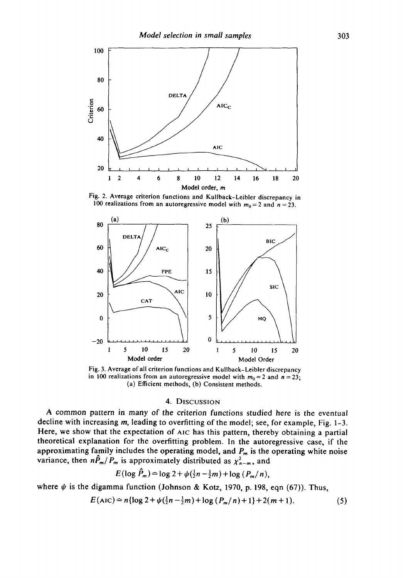

Fig. 2. Average criterion functions and Kullback-Leibler discrepancy in 100 realizations from an autoregressive model with  $m_0 = 2$  and  $n = 23$ .



Fig. 3. Average of all criterion functions and Kullback-Leibler discrepancy in 100 realizations from an autoregressive model with  $m_0 = 2$  and  $n = 23$ ; (a) Efficient methods, (b) Consistent methods.

## 4. DISCUSSION

A common pattern in many of the criterion functions studied here is the eventual decline with increasing m, leading to overfitting of the model; see, for example, Fig. 1-3. Here, we show that the expectation of AIC has this pattern, thereby obtaining a partial theoretical explanation for the overfitting problem. In the autoregressive case, if the approximating family includes the operating model, and *Pm* is the operating white noise variance, then  $n\hat{P}_m/P_m$  is approximately distributed as  $\chi^2_{n-m}$ , and

$$
E(\log P_m)
$$
 = log 2 +  $\psi(\frac{1}{2}n - \frac{1}{2}m)$  + log  $(P_m/n)$ ,

where  $\psi$  is the digamma function (Johnson & Kotz, 1970, p. 198, eqn (67)). Thus,

$$
E(AIC) \approx n\{\log 2 + \psi(\frac{1}{2}n - \frac{1}{2}m) + \log(P_m/n) + 1\} + 2(m+1). \tag{5}
$$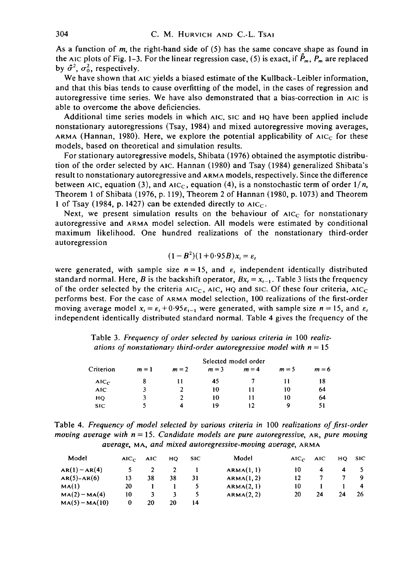As a function of *m,* the right-hand side of (5) has the same concave shape as found in the AIC plots of Fig. 1-3. For the linear regression case, (5) is exact, if  $\hat{P}_m$ ,  $P_m$  are replaced by  $\hat{\sigma}^2$ ,  $\sigma_0^2$ , respectively.

We have shown that AIC yields a biased estimate of the Kullback-Leibler information, and that this bias tends to cause overfitting of the model, in the cases of regression and autoregressive time series. We have also demonstrated that a bias-correction in AIC is able to overcome the above deficiencies.

Additional time series models in which AIC, SIC and HQ have been applied include nonstationary autoregressions (Tsay, 1984) and mixed autoregressive moving averages, ARMA (Hannan, 1980). Here, we explore the potential applicability of  $AIC<sub>C</sub>$  for these models, based on theoretical and simulation results.

For stationary autoregressive models, Shibata (1976) obtained the asymptotic distribution of the order selected by AIC. Hannan (1980) and Tsay (1984) generalized Shibata's result to nonstationary autoregressive and ARMA models, respectively. Since the difference between AIC, equation (3), and AIC<sub>C</sub>, equation (4), is a nonstochastic term of order  $1/n$ , Theorem 1 of Shibata (1976, p. 119), Theorem 2 of Hannan (1980, p. 1073) and Theorem 1 of Tsay (1984, p. 1427) can be extended directly to  $AIC_{C}$ .

Next, we present simulation results on the behaviour of  $AIC<sub>C</sub>$  for nonstationary autoregressive and ARMA model selection. All models were estimated by conditional maximum likelihood. One hundred realizations of the nonstationary third-order autoregression

$$
(1-B^2)(1+0.95B)x_i = \varepsilon_i
$$

were generated, with sample size  $n = 15$ , and  $\varepsilon_i$  independent identically distributed standard normal. Here, *B* is the backshift operator,  $Bx_i = x_{i-1}$ . Table 3 lists the frequency of the order selected by the criteria  $AIC<sub>C</sub>$ , AIC, HQ and SIC. Of these four criteria,  $AIC<sub>C</sub>$ performs best. For the case of ARMA model selection, 100 realizations of the first-order moving average model  $x_i = \varepsilon_i + 0.95\varepsilon_{i-1}$  were generated, with sample size  $n = 15$ , and  $\varepsilon_i$ independent identically distributed standard normal. Table 4 gives the frequency of the

Table 3. *Frequency of order selected by various criteria in* 100 *realizations of nonstationary third-order autoregressive model with*  $n = 15$ 

| Criterion        | Selected model order |         |         |         |         |         |  |  |  |
|------------------|----------------------|---------|---------|---------|---------|---------|--|--|--|
|                  | $m=1$                | $m = 2$ | $m = 3$ | $m = 4$ | $m = 5$ | $m = 6$ |  |  |  |
| AIC <sub>C</sub> | 8                    |         | 45      |         |         |         |  |  |  |
| AIC.             |                      |         | 10      |         | 10      | 64      |  |  |  |
| HQ.              | ٦                    |         | 10      |         | 10      | 64      |  |  |  |
| <b>SIC</b>       |                      |         | 19      |         |         |         |  |  |  |

Table 4. *Frequency of model selected by various criteria in* 100 *realizations of first-order moving average with n =* 15. *Candidate models are pure autoregressive,* AR, *pure moving average,* MA, *and mixed autoregressive-moving average,* ARMA

| Model            | $AIC_C$ | AIC | HО | SIC. | Model      | $AIC_C$ | AIC. | HQ SIC |    |
|------------------|---------|-----|----|------|------------|---------|------|--------|----|
| $AR(1) - AR(4)$  |         |     |    |      | ARMA(1, 1) | 10      |      | 4      |    |
| $AR(5)-AR(6)$    | 13      | 38  | 38 | 31   | ARMA(1, 2) | 12      |      |        |    |
| MA(1)            | 20      |     |    |      | ARMA(2,1)  | 10      |      |        | 4  |
| $MA(2) - MA(4)$  | 10      |     |    |      | ARMA(2, 2) | 20      | 24   | 24     | 26 |
| $MA(5) - MA(10)$ | 0       | 20  | 20 | 14   |            |         |      |        |    |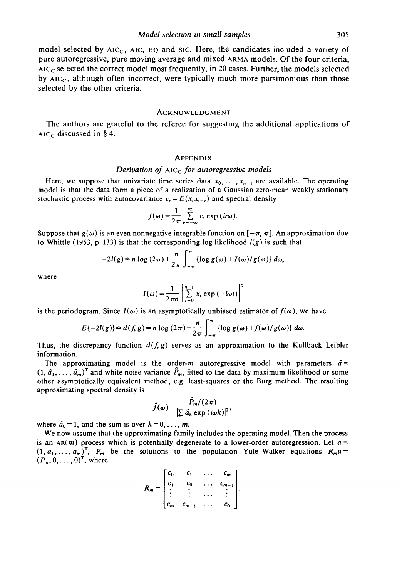model selected by  $AIC_C$ ,  $AIC$ ,  $HQ$  and  $SIC$ . Here, the candidates included a variety of pure autoregressive, pure moving average and mixed ARMA models. Of the four criteria,  $AIC<sub>C</sub>$  selected the correct model most frequently, in 20 cases. Further, the models selected by  $AIC<sub>C</sub>$ , although often incorrect, were typically much more parsimonious than those selected by the other criteria.

## ACKNOWLEDGMENT

The authors are grateful to the referee for suggesting the additional applications of AIC<sub>C</sub> discussed in § 4.

#### **APPENDIX**

#### *Derivation of* AIC<sub>C</sub> for autoregressive models

Here, we suppose that univariate time series data  $x_0, \ldots, x_{n-1}$  are available. The operating model is that the data form a piece of a realization of a Gaussian zero-mean weakly stationary stochastic process with autocovariance  $c_r = E(x_r x_{r-r})$  and spectral density

$$
f(\omega) = \frac{1}{2\pi} \sum_{r=-\infty}^{\infty} c_r \exp(i r \omega).
$$

Suppose that  $g(\omega)$  is an even nonnegative integrable function on  $[-\pi, \pi]$ . An approximation due to Whittle (1953, p. 133) is that the corresponding log likelihood  $l(g)$  is such that

$$
-2I(g) \approx n \log{(2\pi)} + \frac{n}{2\pi} \int_{-\pi}^{\pi} \left\{ \log g(\omega) + I(\omega)/g(\omega) \right\} d\omega,
$$

where

$$
I(\omega) = \frac{1}{2\pi n} \left| \sum_{i=0}^{n-1} x_i \exp(-i\omega t) \right|^2
$$

is the periodogram. Since  $I(\omega)$  is an asymptotically unbiased estimator of  $f(\omega)$ , we have

$$
E\{-2l(g)\} \simeq d(f,g) = n \log (2\pi) + \frac{n}{2\pi} \int_{-\pi}^{\pi} \left\{ \log g(\omega) + f(\omega)/g(\omega) \right\} d\omega.
$$

Thus, the discrepancy function  $d(f, g)$  serves as an approximation to the Kullback-Leibler information.

The approximating model is the order-*m* autoregressive model with parameters  $\hat{a}$  =  $(1, \hat{a}_1, \ldots, \hat{a}_m)^T$  and white noise variance  $\hat{P}_m$ , fitted to the data by maximum likelihood or some other asymptotically equivalent method, e.g. least-squares or the Burg method. The resulting approximating spectral density is

$$
\hat{f}(\omega) = \frac{\hat{P}_m/(2\pi)}{\left|\sum \hat{a}_k \exp(i\omega k)\right|^2},
$$

where  $\hat{a}_0 = 1$ , and the sum is over  $k = 0, \ldots, m$ .

We now assume that the approximating family includes the operating model. Then the process is an  $AR(m)$  process which is potentially degenerate to a lower-order autoregression. Let  $a =$  $(1, a_1, \ldots, a_m)^T$ ,  $P_m$  be the solutions to the population Yule-Walker equations  $R_m a =$  $(P_m, 0, \ldots, 0)^{\mathsf{T}}$ , where

$$
R_m = \begin{bmatrix} c_0 & c_1 & \dots & c_m \\ c_1 & c_0 & \dots & c_{m-1} \\ \vdots & \vdots & \dots & \vdots \\ c_m & c_{m-1} & \dots & c_0 \end{bmatrix}.
$$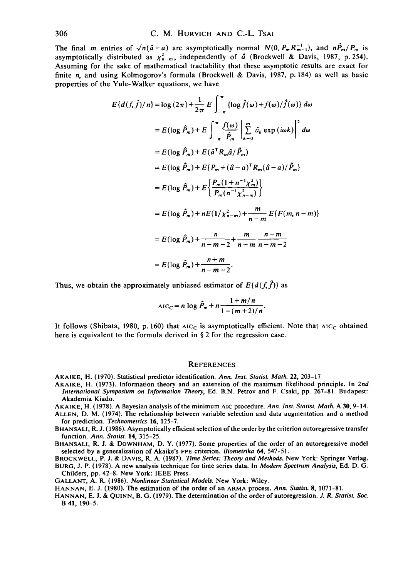The final *m* entries of  $\sqrt{n}(\hat{a}-a)$  are asymptotically normal  $N(0, P_m R_{m-1}^{-1})$ , and  $n\hat{P}_m/P_m$  is asymptotically distributed as  $\chi^2_{n-m}$ , independently of  $\hat{a}$  (Brockwell & Davis, 1987, p. 254). Assuming for the sake of mathematical tractability that these asymptotic results are exact for finite *n,* and using Kolmogorov's formula (Brockwell & Davis, 1987, p. 184) as well as basic properties of the Yule-Walker equations, we have

$$
E\{d(f, \hat{f})/n\} = \log(2\pi) + \frac{1}{2\pi} E \int_{-\pi}^{\pi} \{\log \hat{f}(\omega) + f(\omega)/\hat{f}(\omega)\} d\omega
$$
  
\n
$$
= E(\log \hat{P}_m) + E \int_{-\pi}^{\pi} \frac{f(\omega)}{\hat{P}_m} \left| \sum_{k=0}^{m} \hat{a}_k \exp(i\omega k) \right|^2 d\omega
$$
  
\n
$$
= E(\log \hat{P}_m) + E(\hat{a}^{\mathrm{T}} R_m \hat{a}/\hat{P}_m)
$$
  
\n
$$
= E(\log \hat{P}_m) + E\{P_m + (\hat{a} - a)^{\mathrm{T}} R_m (\hat{a} - a)/\hat{P}_m\}
$$
  
\n
$$
= E(\log \hat{P}_m) + E\{\frac{P_m(1 + n^{-1}\chi_m^2)}{P_m(n^{-1}\chi_{n-m}^2)}\}
$$
  
\n
$$
= E(\log \hat{P}_m) + nE(1/\chi_{n-m}^2) + \frac{m}{n-m} E\{F(m, n-m)\}
$$
  
\n
$$
= E(\log \hat{P}_m) + \frac{n}{n-m-2} + \frac{m}{n-m} \frac{n-m}{n-m-2}
$$
  
\n
$$
= E(\log \hat{P}_m) + \frac{n+m}{n-m-2}.
$$

Thus, we obtain the approximately unbiased estimator of  $E\{d(f, \hat{f})\}$  as

$$
AIC_C = n \log \hat{P}_m + n \frac{1 + m/n}{1 - (m+2)/n}.
$$

It follows (Shibata, 1980, p. 160) that  $AIC<sub>C</sub>$  is asymptotically efficient. Note that  $AIC<sub>C</sub>$  obtained here is equivalent to the formula derived in § 2 for the regression case.

#### **REFERENCES**

AKAIKE, H. (1970). Statistical predictor identification. *Ann. Inst. Statist. Math.* 22, 203-17

AKAIKE, H. (1973). Information theory and an extension of the maximum likelihood principle. In *2nd International Symposium on Information Theory,* Ed. B.N. Petrov and F. Csaki, pp. 267-81. Budapest: Akademia Kiado.

AKAIKE, H. (1978). A Bayesian analysis of the minimum AIC procedure. *Ann. Inst. Statist. Math.* A 30,9-14. ALLEN, D. M. (1974). The relationship between variable selection and data augmentation and a method for prediction. *Technometrics* 16, 125-7.

BHANSALI, R. J. (1986). Asymptotically efficient selection of the order by the criterion autoregressive transfer function. *Ann. Statist.* 14, 315-25.

BHANSALI, R. J. & DOWNHAM, D. Y. (1977). Some properties of the order of an autoregressive model selected by a generalization of Akaike's FPE criterion. *Biometrika* 64, 547-51.

BROCKWELL, P. J. & DAVIS, R. A. (1987). *Time Series: Theory and Methods.* New York: Springer Verlag.

BURG, J. P. (1978). A new analysis technique for time series data. In *Modern Spectrum Analysis,* Ed. D. G. Childers, pp. 42-8. New York: IEEE Press.

GALLANT, A. R. (1986). *Nonlinear Statistical Models.* New York: Wiley.

HANNAN, E. J. (1980). The estimation of the order of an ARMA process. *Ann. Statist.* 8, 1071-81.

HANNAN, E. J. & QUINN, B. G. (1979). The determination of the order of autoregression. *J. R. Statist Soc* B 41, 190-5.